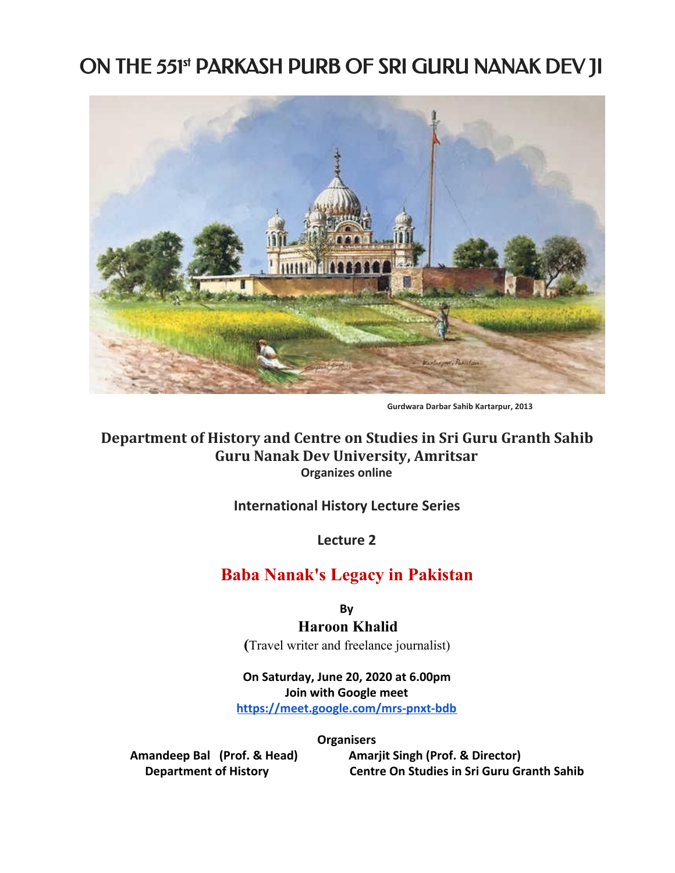# ON THE 551st PARKASH PURB OF SRI GURU NANAK DEV JI



 **Gurdwara Darbar Sahib Kartarpur, <sup>2013</sup>**

## **Department of History and Centre on Studies in Sri Guru Granth Sahib Guru Nanak Dev University, Amritsar Organizes online**

### **International History Lecture Series**

**Lecture 2**

## **Baba Nanak's Legacy in Pakistan**

**By**

### **Haroon Khalid**

**(**Travel writer and freelance journalist)

#### **On Saturday, June 20, 2020 at 6.00pm Join with Google meet <https://meet.google.com/mrs-pnxt-bdb>**

**Organisers**

Amandeep Bal (Prof. & Head) **Amarjit Singh (Prof. & Director) Department of History Centre On Studies in Sri Guru Granth Sahib**